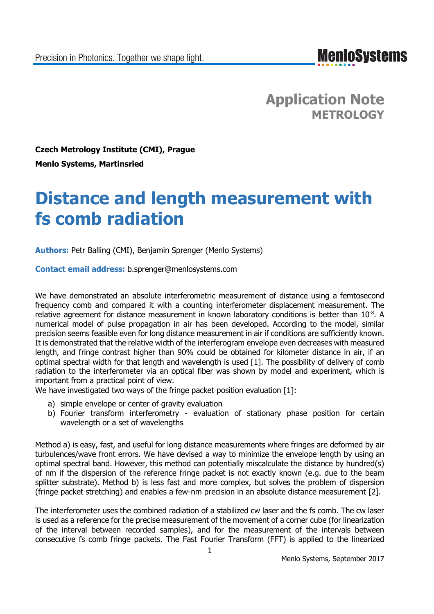**MenIoSystems** 

**Application Note METROLOGY**

**Czech Metrology Institute (CMI), Prague Menlo Systems, Martinsried**

# **Distance and length measurement with fs comb radiation**

**Authors:** Petr Balling (CMI), Benjamin Sprenger (Menlo Systems)

**Contact email address:** b.sprenger@menlosystems.com

We have demonstrated an absolute interferometric measurement of distance using a femtosecond frequency comb and compared it with a counting interferometer displacement measurement. The relative agreement for distance measurement in known laboratory conditions is better than  $10^{-8}$ . A numerical model of pulse propagation in air has been developed. According to the model, similar precision seems feasible even for long distance measurement in air if conditions are sufficiently known. It is demonstrated that the relative width of the interferogram envelope even decreases with measured length, and fringe contrast higher than 90% could be obtained for kilometer distance in air, if an optimal spectral width for that length and wavelength is used [1]. The possibility of delivery of comb radiation to the interferometer via an optical fiber was shown by model and experiment, which is important from a practical point of view.

We have investigated two ways of the fringe packet position evaluation [1]:

- a) simple envelope or center of gravity evaluation
- b) Fourier transform interferometry evaluation of stationary phase position for certain wavelength or a set of wavelengths

Method a) is easy, fast, and useful for long distance measurements where fringes are deformed by air turbulences/wave front errors. We have devised a way to minimize the envelope length by using an optimal spectral band. However, this method can potentially miscalculate the distance by hundred(s) of nm if the dispersion of the reference fringe packet is not exactly known (e.g. due to the beam splitter substrate). Method b) is less fast and more complex, but solves the problem of dispersion (fringe packet stretching) and enables a few-nm precision in an absolute distance measurement [2].

The interferometer uses the combined radiation of a stabilized cw laser and the fs comb. The cw laser is used as a reference for the precise measurement of the movement of a corner cube (for linearization of the interval between recorded samples), and for the measurement of the intervals between consecutive fs comb fringe packets. The Fast Fourier Transform (FFT) is applied to the linearized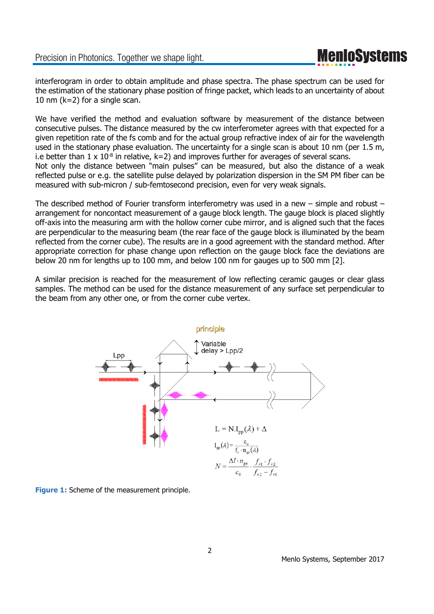#### Precision in Photonics. Together we shape light.

interferogram in order to obtain amplitude and phase spectra. The phase spectrum can be used for the estimation of the stationary phase position of fringe packet, which leads to an uncertainty of about 10 nm (k=2) for a single scan.

We have verified the method and evaluation software by measurement of the distance between consecutive pulses. The distance measured by the cw interferometer agrees with that expected for a given repetition rate of the fs comb and for the actual group refractive index of air for the wavelength used in the stationary phase evaluation. The uncertainty for a single scan is about 10 nm (per 1.5 m, i.e better than  $1 \times 10^{-8}$  in relative,  $k=2$ ) and improves further for averages of several scans. Not only the distance between "main pulses" can be measured, but also the distance of a weak reflected pulse or e.g. the satellite pulse delayed by polarization dispersion in the SM PM fiber can be measured with sub-micron / sub-femtosecond precision, even for very weak signals.

The described method of Fourier transform interferometry was used in a new – simple and robust – arrangement for noncontact measurement of a gauge block length. The gauge block is placed slightly off-axis into the measuring arm with the hollow corner cube mirror, and is aligned such that the faces are perpendicular to the measuring beam (the rear face of the gauge block is illuminated by the beam reflected from the corner cube). The results are in a good agreement with the standard method. After appropriate correction for phase change upon reflection on the gauge block face the deviations are below 20 nm for lengths up to 100 mm, and below 100 nm for gauges up to 500 mm [2].

A similar precision is reached for the measurement of low reflecting ceramic gauges or clear glass samples. The method can be used for the distance measurement of any surface set perpendicular to the beam from any other one, or from the corner cube vertex.



**Figure 1:** Scheme of the measurement principle.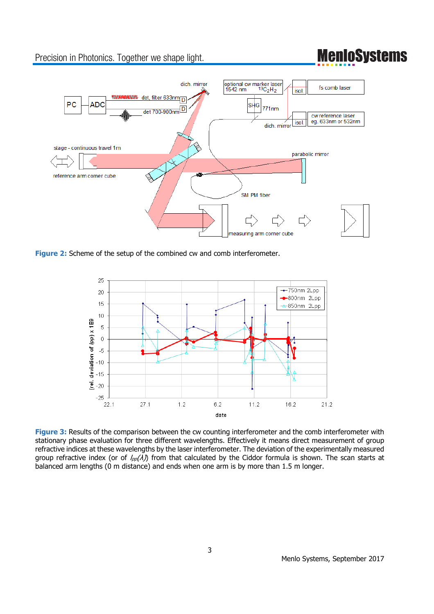### Precision in Photonics. Together we shape light.

### **MenIoSystems**



**Figure 2:** Scheme of the setup of the combined cw and comb interferometer.



**Figure 3:** Results of the comparison between the cw counting interferometer and the comb interferometer with stationary phase evaluation for three different wavelengths. Effectively it means direct measurement of group refractive indices at these wavelengths by the laser interferometer. The deviation of the experimentally measured group refractive index (or of  $I_{pp}(\lambda)$ ) from that calculated by the Ciddor formula is shown. The scan starts at balanced arm lengths (0 m distance) and ends when one arm is by more than 1.5 m longer.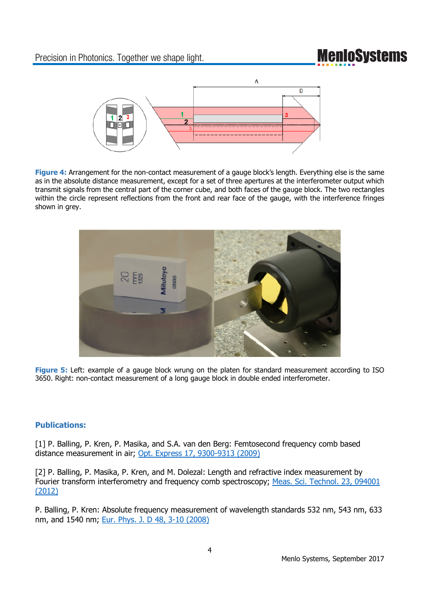# **MenIoSystems**



**Figure 4:** Arrangement for the non-contact measurement of a gauge block's length. Everything else is the same as in the absolute distance measurement, except for a set of three apertures at the interferometer output which transmit signals from the central part of the corner cube, and both faces of the gauge block. The two rectangles within the circle represent reflections from the front and rear face of the gauge, with the interference fringes shown in grey.



**Figure 5:** Left: example of a gauge block wrung on the platen for standard measurement according to ISO 3650. Right: non-contact measurement of a long gauge block in double ended interferometer.

#### **Publications:**

[1] P. Balling, P. Kren, P. Masika, and S.A. van den Berg: Femtosecond frequency comb based distance measurement in air; Opt. Express 17, 9300-9313 (2009)

[2] P. Balling, P. Masika, P. Kren, and M. Dolezal: Length and refractive index measurement by Fourier transform interferometry and frequency comb spectroscopy; Meas. Sci. Technol. 23, 094001 (2012)

P. Balling, P. Kren: Absolute frequency measurement of wavelength standards 532 nm, 543 nm, 633 nm, and 1540 nm; Eur. Phys. J. D 48, 3-10 (2008)